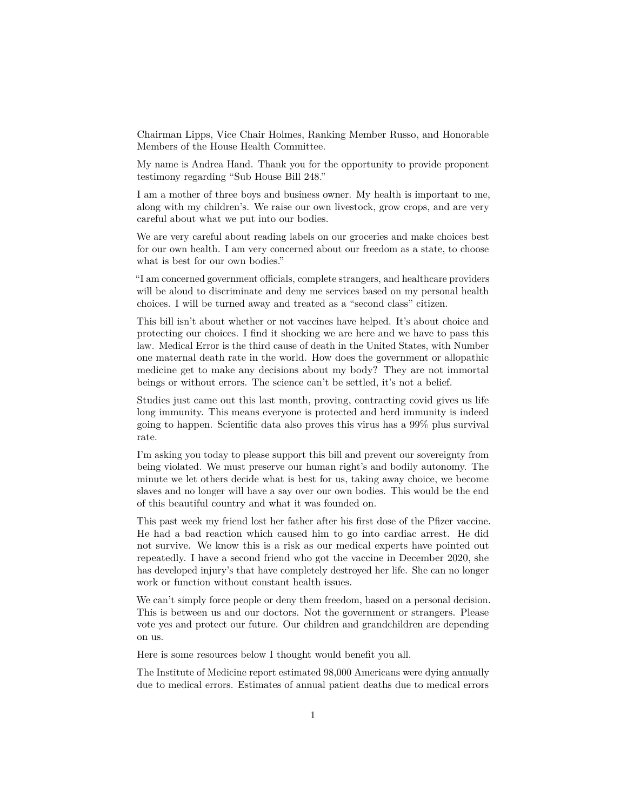Chairman Lipps, Vice Chair Holmes, Ranking Member Russo, and Honorable Members of the House Health Committee.

My name is Andrea Hand. Thank you for the opportunity to provide proponent testimony regarding "Sub House Bill 248."

I am a mother of three boys and business owner. My health is important to me, along with my children's. We raise our own livestock, grow crops, and are very careful about what we put into our bodies.

We are very careful about reading labels on our groceries and make choices best for our own health. I am very concerned about our freedom as a state, to choose what is best for our own bodies."

"I am concerned government officials, complete strangers, and healthcare providers will be aloud to discriminate and deny me services based on my personal health choices. I will be turned away and treated as a "second class" citizen.

This bill isn't about whether or not vaccines have helped. It's about choice and protecting our choices. I find it shocking we are here and we have to pass this law. Medical Error is the third cause of death in the United States, with Number one maternal death rate in the world. How does the government or allopathic medicine get to make any decisions about my body? They are not immortal beings or without errors. The science can't be settled, it's not a belief.

Studies just came out this last month, proving, contracting covid gives us life long immunity. This means everyone is protected and herd immunity is indeed going to happen. Scientific data also proves this virus has a 99% plus survival rate.

I'm asking you today to please support this bill and prevent our sovereignty from being violated. We must preserve our human right's and bodily autonomy. The minute we let others decide what is best for us, taking away choice, we become slaves and no longer will have a say over our own bodies. This would be the end of this beautiful country and what it was founded on.

This past week my friend lost her father after his first dose of the Pfizer vaccine. He had a bad reaction which caused him to go into cardiac arrest. He did not survive. We know this is a risk as our medical experts have pointed out repeatedly. I have a second friend who got the vaccine in December 2020, she has developed injury's that have completely destroyed her life. She can no longer work or function without constant health issues.

We can't simply force people or deny them freedom, based on a personal decision. This is between us and our doctors. Not the government or strangers. Please vote yes and protect our future. Our children and grandchildren are depending on us.

Here is some resources below I thought would benefit you all.

The Institute of Medicine report estimated 98,000 Americans were dying annually due to medical errors. Estimates of annual patient deaths due to medical errors